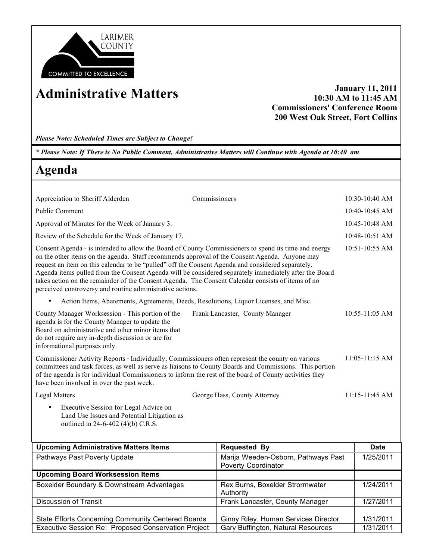

**Administrative Matters January 11, 2011 10:30 AM to 11:45 AM Commissioners' Conference Room 200 West Oak Street, Fort Collins**

*Please Note: Scheduled Times are Subject to Change!*

*\* Please Note: If There is No Public Comment, Administrative Matters will Continue with Agenda at 10:40 am*

## **Agenda**

| Appreciation to Sheriff Alderden                                                                                                                                                                                                                                                                                                                                                                                                                                                                                                                                                                        | Commissioners                   | $10:30-10:40$ AM   |
|---------------------------------------------------------------------------------------------------------------------------------------------------------------------------------------------------------------------------------------------------------------------------------------------------------------------------------------------------------------------------------------------------------------------------------------------------------------------------------------------------------------------------------------------------------------------------------------------------------|---------------------------------|--------------------|
| <b>Public Comment</b>                                                                                                                                                                                                                                                                                                                                                                                                                                                                                                                                                                                   |                                 | 10:40-10:45 AM     |
| Approval of Minutes for the Week of January 3.                                                                                                                                                                                                                                                                                                                                                                                                                                                                                                                                                          |                                 | $10:45-10:48$ AM   |
| Review of the Schedule for the Week of January 17.                                                                                                                                                                                                                                                                                                                                                                                                                                                                                                                                                      |                                 | 10:48-10:51 AM     |
| Consent Agenda - is intended to allow the Board of County Commissioners to spend its time and energy<br>10:51-10:55 AM<br>on the other items on the agenda. Staff recommends approval of the Consent Agenda. Anyone may<br>request an item on this calendar to be "pulled" off the Consent Agenda and considered separately.<br>Agenda items pulled from the Consent Agenda will be considered separately immediately after the Board<br>takes action on the remainder of the Consent Agenda. The Consent Calendar consists of items of no<br>perceived controversy and routine administrative actions. |                                 |                    |
| Action Items, Abatements, Agreements, Deeds, Resolutions, Liquor Licenses, and Misc.<br>$\bullet$                                                                                                                                                                                                                                                                                                                                                                                                                                                                                                       |                                 |                    |
| County Manager Worksession - This portion of the<br>agenda is for the County Manager to update the<br>Board on administrative and other minor items that<br>do not require any in-depth discussion or are for<br>informational purposes only.                                                                                                                                                                                                                                                                                                                                                           | Frank Lancaster, County Manager | $10:55 - 11:05$ AM |
| Commissioner Activity Reports - Individually, Commissioners often represent the county on various<br>committees and task forces, as well as serve as liaisons to County Boards and Commissions. This portion<br>of the agenda is for individual Commissioners to inform the rest of the board of County activities they<br>have been involved in over the past week.                                                                                                                                                                                                                                    |                                 | $11:05-11:15$ AM   |
| Legal Matters                                                                                                                                                                                                                                                                                                                                                                                                                                                                                                                                                                                           | George Hass, County Attorney    | 11:15-11:45 AM     |
| Executive Session for Legal Advice on<br>$\bullet$<br>Land Use Issues and Potential Litigation as<br>outlined in 24-6-402 (4)(b) C.R.S.                                                                                                                                                                                                                                                                                                                                                                                                                                                                 |                                 |                    |

| <b>Upcoming Administrative Matters Items</b>        | <b>Requested By</b>                                               | <b>Date</b> |
|-----------------------------------------------------|-------------------------------------------------------------------|-------------|
| Pathways Past Poverty Update                        | Marija Weeden-Osborn, Pathways Past<br><b>Poverty Coordinator</b> | 1/25/2011   |
| <b>Upcoming Board Worksession Items</b>             |                                                                   |             |
| Boxelder Boundary & Downstream Advantages           | Rex Burns, Boxelder Strormwater<br>Authority                      | 1/24/2011   |
| <b>Discussion of Transit</b>                        | Frank Lancaster, County Manager                                   | 1/27/2011   |
| State Efforts Concerning Community Centered Boards  | Ginny Riley, Human Services Director                              | 1/31/2011   |
| Executive Session Re: Proposed Conservation Project | Gary Buffington, Natural Resources                                | 1/31/2011   |